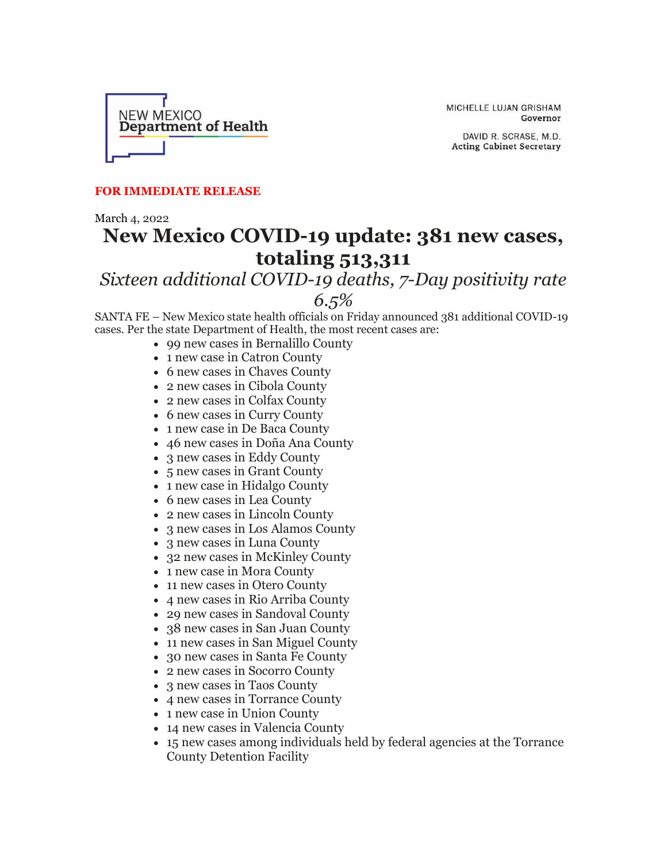

MICHELLE LUJAN GRISHAM Governor

DAVID R. SCRASE, M.D. **Acting Cabinet Secretary** 

#### **FOR IMMEDIATE RELEASE**

March 4, 2022

# **New Mexico COVID-19 update: 381 new cases, totaling 513,311**

# *Sixteen additional COVID-19 deaths, 7-Day positivity rate 6.5%*

SANTA FE – New Mexico state health officials on Friday announced 381 additional COVID-19 cases. Per the state Department of Health, the most recent cases are:

- 99 new cases in Bernalillo County
- 1 new case in Catron County
- 6 new cases in Chaves County
- 2 new cases in Cibola County
- 2 new cases in Colfax County
- 6 new cases in Curry County
- 1 new case in De Baca County
- 46 new cases in Doña Ana County
- 3 new cases in Eddy County
- 5 new cases in Grant County
- 1 new case in Hidalgo County
- 6 new cases in Lea County
- 2 new cases in Lincoln County
- 3 new cases in Los Alamos County
- 3 new cases in Luna County
- 32 new cases in McKinley County
- 1 new case in Mora County
- 11 new cases in Otero County
- 4 new cases in Rio Arriba County
- 29 new cases in Sandoval County
- 38 new cases in San Juan County
- 11 new cases in San Miguel County
- 30 new cases in Santa Fe County
- 2 new cases in Socorro County
- 3 new cases in Taos County
- 4 new cases in Torrance County
- 1 new case in Union County
- 14 new cases in Valencia County
- 15 new cases among individuals held by federal agencies at the Torrance County Detention Facility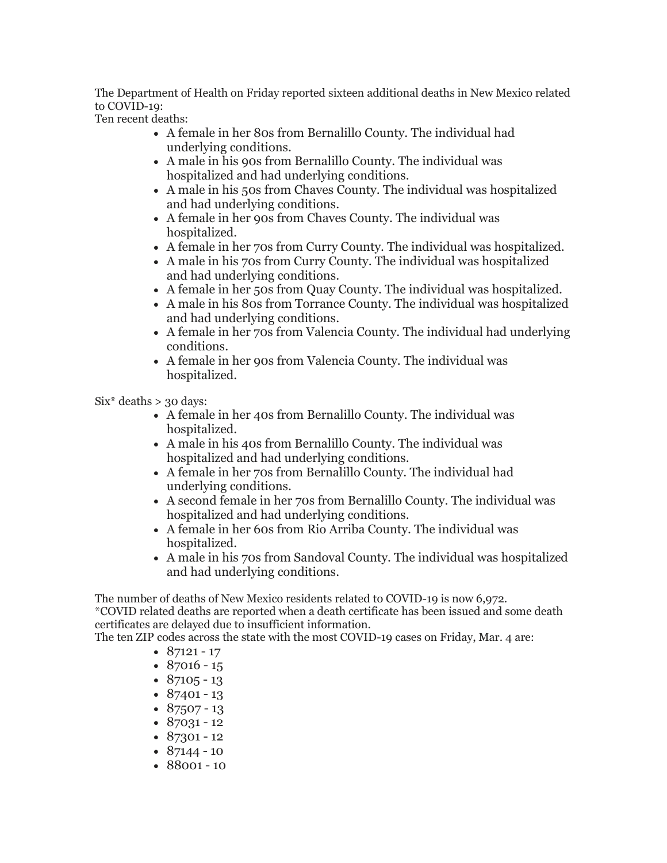The Department of Health on Friday reported sixteen additional deaths in New Mexico related to COVID-19:

Ten recent deaths:

- A female in her 80s from Bernalillo County. The individual had underlying conditions.
- A male in his 90s from Bernalillo County. The individual was hospitalized and had underlying conditions.
- A male in his 50s from Chaves County. The individual was hospitalized and had underlying conditions.
- A female in her 90s from Chaves County. The individual was hospitalized.
- A female in her 70s from Curry County. The individual was hospitalized.
- A male in his 70s from Curry County. The individual was hospitalized and had underlying conditions.
- A female in her 50s from Quay County. The individual was hospitalized.
- A male in his 80s from Torrance County. The individual was hospitalized and had underlying conditions.
- A female in her 70s from Valencia County. The individual had underlying conditions.
- A female in her 90s from Valencia County. The individual was hospitalized.

 $Six*$  deaths  $> 30$  days:

- A female in her 40s from Bernalillo County. The individual was hospitalized.
- A male in his 40s from Bernalillo County. The individual was hospitalized and had underlying conditions.
- A female in her 70s from Bernalillo County. The individual had underlying conditions.
- A second female in her 70s from Bernalillo County. The individual was hospitalized and had underlying conditions.
- A female in her 60s from Rio Arriba County. The individual was hospitalized.
- A male in his 70s from Sandoval County. The individual was hospitalized and had underlying conditions.

The number of deaths of New Mexico residents related to COVID-19 is now 6,972.

\*COVID related deaths are reported when a death certificate has been issued and some death certificates are delayed due to insufficient information.

The ten ZIP codes across the state with the most COVID-19 cases on Friday, Mar. 4 are:

- $87121 17$
- $87016 15$
- $\cdot$  87105 13
- $87401 13$
- $87507 13$
- 87031 12
- 87301 12
- $87144 10$
- 88001 10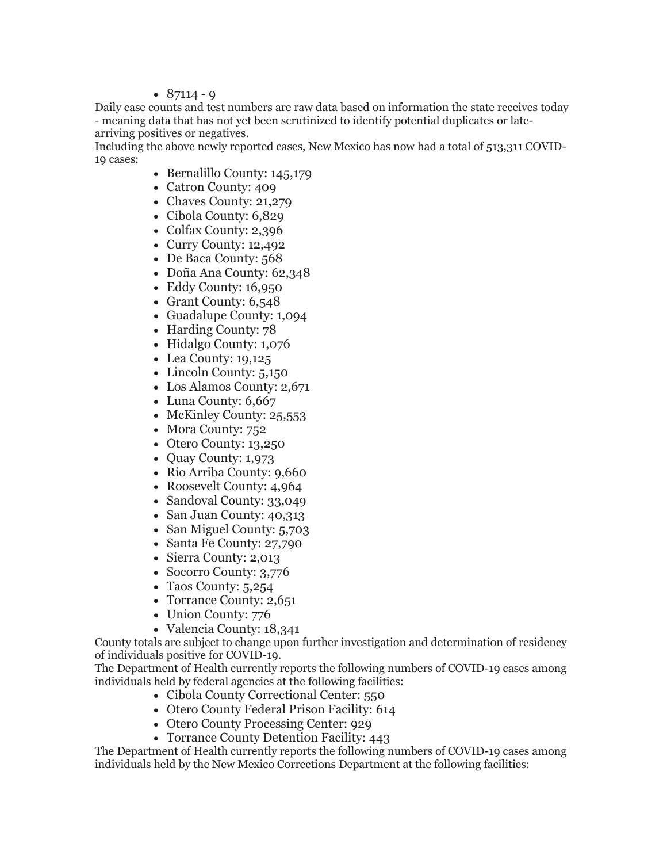## •  $87114 - 9$

Daily case counts and test numbers are raw data based on information the state receives today - meaning data that has not yet been scrutinized to identify potential duplicates or latearriving positives or negatives.

Including the above newly reported cases, New Mexico has now had a total of 513,311 COVID-19 cases:

- Bernalillo County: 145,179
- Catron County: 409
- Chaves County: 21,279
- Cibola County: 6,829
- Colfax County: 2,396
- Curry County: 12,492
- De Baca County: 568
- Doña Ana County: 62,348
- Eddy County: 16,950
- Grant County: 6,548
- Guadalupe County: 1,094
- Harding County: 78
- Hidalgo County: 1,076
- Lea County: 19,125
- Lincoln County: 5,150
- Los Alamos County: 2,671
- Luna County: 6,667
- McKinley County: 25,553
- Mora County: 752
- Otero County: 13,250
- Quay County: 1,973
- Rio Arriba County: 9,660
- Roosevelt County: 4,964
- Sandoval County: 33,049
- San Juan County: 40,313
- San Miguel County: 5,703
- Santa Fe County: 27,790
- Sierra County: 2,013
- Socorro County: 3,776
- Taos County: 5,254
- Torrance County: 2,651
- Union County: 776
- Valencia County: 18,341

County totals are subject to change upon further investigation and determination of residency of individuals positive for COVID-19.

The Department of Health currently reports the following numbers of COVID-19 cases among individuals held by federal agencies at the following facilities:

- Cibola County Correctional Center: 550
- Otero County Federal Prison Facility: 614
- Otero County Processing Center: 929
- Torrance County Detention Facility: 443

The Department of Health currently reports the following numbers of COVID-19 cases among individuals held by the New Mexico Corrections Department at the following facilities: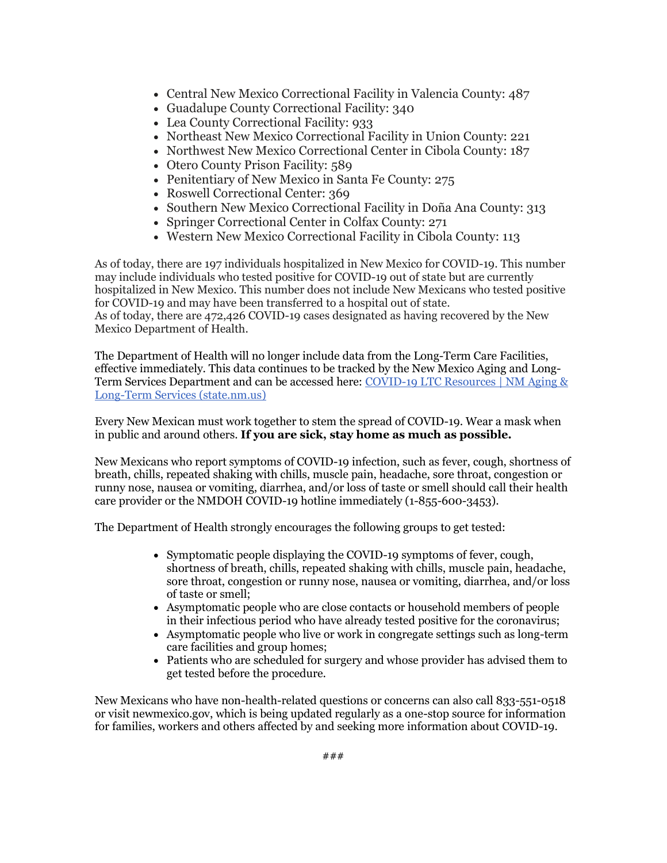- Central New Mexico Correctional Facility in Valencia County: 487
- Guadalupe County Correctional Facility: 340
- Lea County Correctional Facility: 933
- Northeast New Mexico Correctional Facility in Union County: 221
- Northwest New Mexico Correctional Center in Cibola County: 187
- Otero County Prison Facility: 589
- Penitentiary of New Mexico in Santa Fe County: 275
- Roswell Correctional Center: 369
- Southern New Mexico Correctional Facility in Doña Ana County: 313
- Springer Correctional Center in Colfax County: 271
- Western New Mexico Correctional Facility in Cibola County: 113

As of today, there are 197 individuals hospitalized in New Mexico for COVID-19. This number may include individuals who tested positive for COVID-19 out of state but are currently hospitalized in New Mexico. This number does not include New Mexicans who tested positive for COVID-19 and may have been transferred to a hospital out of state. As of today, there are 472,426 COVID-19 cases designated as having recovered by the New Mexico Department of Health.

The Department of Health will no longer include data from the Long-Term Care Facilities, effective immediately. This data continues to be tracked by the New Mexico Aging and Long-Term Services Department and can be accessed here: [COVID-19 LTC Resources | NM Aging &](https://r20.rs6.net/tn.jsp?f=001Nq9M6n8UGnYlkX8Eg9N0z3kgSjfeK1XyYna3f_np5vfIZ7XZcFZRJC20lzyaNpPRGQEhBT_d8d5I5qDPRqx-p3qRE2ceS5LTcGxZu7eR2bJOAls18gk9YcZxRQicHO1b7yz2-vMM0KxdleryEm1VGb_O-tW23eu0-Cf2RaSdCWARH6nuP3w_xFf5DESRbGkGnl9rIWecy5EGzqisiojuP6yhJsX8PaDSTEVf8W6-yXCE_NUjG9zHKw==&c=V2N-RoH21E3UeEhzSo2f5VjcrM2bwSl0Tc79sguqVhI8Y1p3OXqPew==&ch=_2YNW7pW0Jft7dFNDrB9_VZgR5OEylwnBuOrwMx-zMBrmyh_dKotdw==)  [Long-Term Services \(state.nm.us\)](https://r20.rs6.net/tn.jsp?f=001Nq9M6n8UGnYlkX8Eg9N0z3kgSjfeK1XyYna3f_np5vfIZ7XZcFZRJC20lzyaNpPRGQEhBT_d8d5I5qDPRqx-p3qRE2ceS5LTcGxZu7eR2bJOAls18gk9YcZxRQicHO1b7yz2-vMM0KxdleryEm1VGb_O-tW23eu0-Cf2RaSdCWARH6nuP3w_xFf5DESRbGkGnl9rIWecy5EGzqisiojuP6yhJsX8PaDSTEVf8W6-yXCE_NUjG9zHKw==&c=V2N-RoH21E3UeEhzSo2f5VjcrM2bwSl0Tc79sguqVhI8Y1p3OXqPew==&ch=_2YNW7pW0Jft7dFNDrB9_VZgR5OEylwnBuOrwMx-zMBrmyh_dKotdw==)

Every New Mexican must work together to stem the spread of COVID-19. Wear a mask when in public and around others. **If you are sick, stay home as much as possible.**

New Mexicans who report symptoms of COVID-19 infection, such as fever, cough, shortness of breath, chills, repeated shaking with chills, muscle pain, headache, sore throat, congestion or runny nose, nausea or vomiting, diarrhea, and/or loss of taste or smell should call their health care provider or the NMDOH COVID-19 hotline immediately (1-855-600-3453).

The Department of Health strongly encourages the following groups to get tested:

- Symptomatic people displaying the COVID-19 symptoms of fever, cough, shortness of breath, chills, repeated shaking with chills, muscle pain, headache, sore throat, congestion or runny nose, nausea or vomiting, diarrhea, and/or loss of taste or smell;
- Asymptomatic people who are close contacts or household members of people in their infectious period who have already tested positive for the coronavirus;
- Asymptomatic people who live or work in congregate settings such as long-term care facilities and group homes;
- Patients who are scheduled for surgery and whose provider has advised them to get tested before the procedure.

New Mexicans who have non-health-related questions or concerns can also call 833-551-0518 or visit newmexico.gov, which is being updated regularly as a one-stop source for information for families, workers and others affected by and seeking more information about COVID-19.